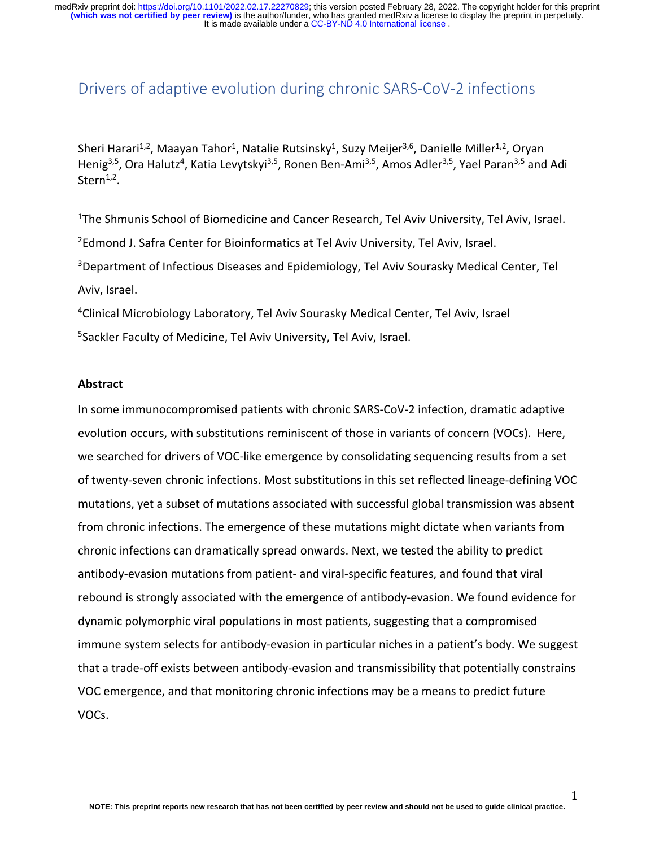# Drivers of adaptive evolution during chronic SARS-CoV-2 infections

Sheri Harari<sup>1,2</sup>, Maayan Tahor<sup>1</sup>, Natalie Rutsinsky<sup>1</sup>, Suzy Meijer<sup>3,6</sup>, Danielle Miller<sup>1,2</sup>, Oryan Henig<sup>3,5</sup>, Ora Halutz<sup>4</sup>, Katia Levytskyi<sup>3,5</sup>, Ronen Ben-Ami<sup>3,5</sup>, Amos Adler<sup>3,5</sup>, Yael Paran<sup>3,5</sup> and Adi Stern $1,2$ .

<sup>1</sup>The Shmunis School of Biomedicine and Cancer Research, Tel Aviv University, Tel Aviv, Israel. <sup>2</sup>Edmond J. Safra Center for Bioinformatics at Tel Aviv University, Tel Aviv, Israel. <sup>3</sup>Department of Infectious Diseases and Epidemiology, Tel Aviv Sourasky Medical Center, Tel Aviv, Israel.

<sup>4</sup>Clinical Microbiology Laboratory, Tel Aviv Sourasky Medical Center, Tel Aviv, Israel 5 Sackler Faculty of Medicine, Tel Aviv University, Tel Aviv, Israel.

#### **Abstract**

In some immunocompromised patients with chronic SARS-CoV-2 infection, dramatic adaptive evolution occurs, with substitutions reminiscent of those in variants of concern (VOCs). Here, we searched for drivers of VOC-like emergence by consolidating sequencing results from a set of twenty-seven chronic infections. Most substitutions in this set reflected lineage-defining VOC mutations, yet a subset of mutations associated with successful global transmission was absent from chronic infections. The emergence of these mutations might dictate when variants from chronic infections can dramatically spread onwards. Next, we tested the ability to predict antibody-evasion mutations from patient- and viral-specific features, and found that viral rebound is strongly associated with the emergence of antibody-evasion. We found evidence for dynamic polymorphic viral populations in most patients, suggesting that a compromised immune system selects for antibody-evasion in particular niches in a patient's body. We suggest that a trade-off exists between antibody-evasion and transmissibility that potentially constrains VOC emergence, and that monitoring chronic infections may be a means to predict future VOCs.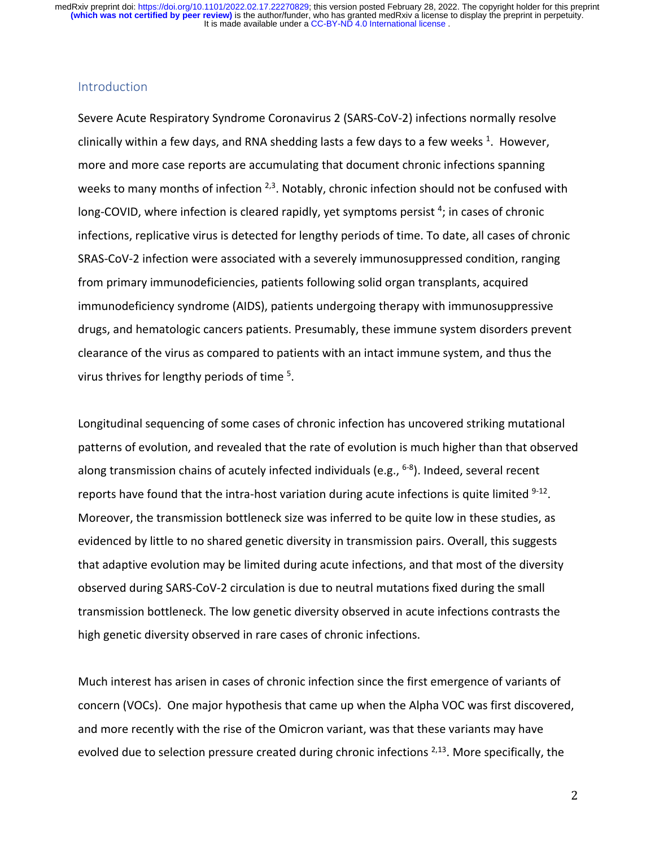## Introduction

Severe Acute Respiratory Syndrome Coronavirus 2 (SARS-CoV-2) infections normally resolve clinically within a few days, and RNA shedding lasts a few days to a few weeks  $1$ . However, more and more case reports are accumulating that document chronic infections spanning weeks to many months of infection  $2,3$ . Notably, chronic infection should not be confused with long-COVID, where infection is cleared rapidly, yet symptoms persist<sup>4</sup>; in cases of chronic infections, replicative virus is detected for lengthy periods of time. To date, all cases of chronic SRAS-CoV-2 infection were associated with a severely immunosuppressed condition, ranging from primary immunodeficiencies, patients following solid organ transplants, acquired immunodeficiency syndrome (AIDS), patients undergoing therapy with immunosuppressive drugs, and hematologic cancers patients. Presumably, these immune system disorders prevent clearance of the virus as compared to patients with an intact immune system, and thus the virus thrives for lengthy periods of time <sup>5</sup>.

Longitudinal sequencing of some cases of chronic infection has uncovered striking mutational patterns of evolution, and revealed that the rate of evolution is much higher than that observed along transmission chains of acutely infected individuals (e.g., <sup>6-8</sup>). Indeed, several recent reports have found that the intra-host variation during acute infections is quite limited  $9-12$ . Moreover, the transmission bottleneck size was inferred to be quite low in these studies, as evidenced by little to no shared genetic diversity in transmission pairs. Overall, this suggests that adaptive evolution may be limited during acute infections, and that most of the diversity observed during SARS-CoV-2 circulation is due to neutral mutations fixed during the small transmission bottleneck. The low genetic diversity observed in acute infections contrasts the high genetic diversity observed in rare cases of chronic infections.

Much interest has arisen in cases of chronic infection since the first emergence of variants of concern (VOCs). One major hypothesis that came up when the Alpha VOC was first discovered, and more recently with the rise of the Omicron variant, was that these variants may have evolved due to selection pressure created during chronic infections  $2,13$ . More specifically, the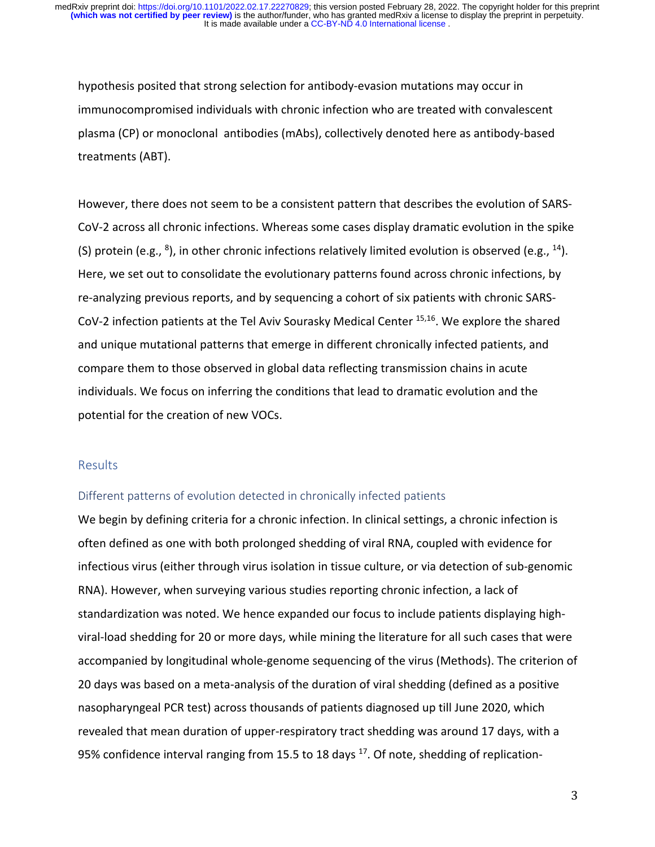hypothesis posited that strong selection for antibody-evasion mutations may occur in immunocompromised individuals with chronic infection who are treated with convalescent plasma (CP) or monoclonal antibodies (mAbs), collectively denoted here as antibody-based treatments (ABT).

However, there does not seem to be a consistent pattern that describes the evolution of SARS-CoV-2 across all chronic infections. Whereas some cases display dramatic evolution in the spike (S) protein (e.g.,  $8$ ), in other chronic infections relatively limited evolution is observed (e.g.,  $14$ ). Here, we set out to consolidate the evolutionary patterns found across chronic infections, by re-analyzing previous reports, and by sequencing a cohort of six patients with chronic SARS-CoV-2 infection patients at the Tel Aviv Sourasky Medical Center 15,16. We explore the shared and unique mutational patterns that emerge in different chronically infected patients, and compare them to those observed in global data reflecting transmission chains in acute individuals. We focus on inferring the conditions that lead to dramatic evolution and the potential for the creation of new VOCs.

## **Results**

## Different patterns of evolution detected in chronically infected patients

We begin by defining criteria for a chronic infection. In clinical settings, a chronic infection is often defined as one with both prolonged shedding of viral RNA, coupled with evidence for infectious virus (either through virus isolation in tissue culture, or via detection of sub-genomic RNA). However, when surveying various studies reporting chronic infection, a lack of standardization was noted. We hence expanded our focus to include patients displaying highviral-load shedding for 20 or more days, while mining the literature for all such cases that were accompanied by longitudinal whole-genome sequencing of the virus (Methods). The criterion of 20 days was based on a meta-analysis of the duration of viral shedding (defined as a positive nasopharyngeal PCR test) across thousands of patients diagnosed up till June 2020, which revealed that mean duration of upper-respiratory tract shedding was around 17 days, with a 95% confidence interval ranging from 15.5 to 18 days  $17$ . Of note, shedding of replication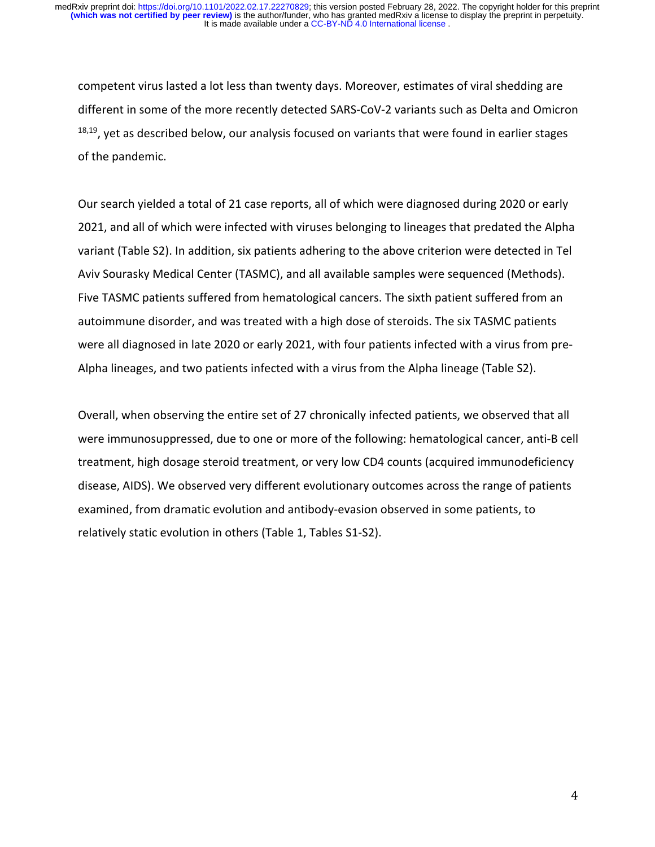competent virus lasted a lot less than twenty days. Moreover, estimates of viral shedding are different in some of the more recently detected SARS-CoV-2 variants such as Delta and Omicron <sup>18,19</sup>, yet as described below, our analysis focused on variants that were found in earlier stages of the pandemic.

Our search yielded a total of 21 case reports, all of which were diagnosed during 2020 or early 2021, and all of which were infected with viruses belonging to lineages that predated the Alpha variant (Table S2). In addition, six patients adhering to the above criterion were detected in Tel Aviv Sourasky Medical Center (TASMC), and all available samples were sequenced (Methods). Five TASMC patients suffered from hematological cancers. The sixth patient suffered from an autoimmune disorder, and was treated with a high dose of steroids. The six TASMC patients were all diagnosed in late 2020 or early 2021, with four patients infected with a virus from pre-Alpha lineages, and two patients infected with a virus from the Alpha lineage (Table S2).

Overall, when observing the entire set of 27 chronically infected patients, we observed that all were immunosuppressed, due to one or more of the following: hematological cancer, anti-B cell treatment, high dosage steroid treatment, or very low CD4 counts (acquired immunodeficiency disease, AIDS). We observed very different evolutionary outcomes across the range of patients examined, from dramatic evolution and antibody-evasion observed in some patients, to relatively static evolution in others (Table 1, Tables S1-S2).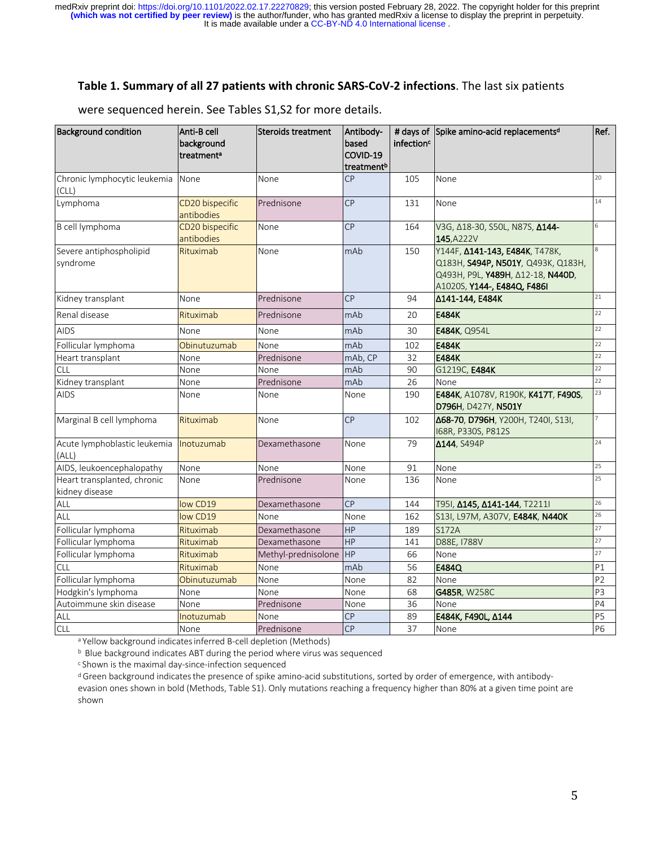### **Table 1. Summary of all 27 patients with chronic SARS-CoV-2 infections**. The last six patients

| <b>Background condition</b>                   | Anti-B cell<br>background<br>treatment <sup>a</sup> | Steroids treatment  | Antibody-<br>based<br>COVID-19<br>treatment <sup>b</sup> | infection <sup>c</sup> | # days of Spike amino-acid replacementsd                                                                                                 | Ref.           |
|-----------------------------------------------|-----------------------------------------------------|---------------------|----------------------------------------------------------|------------------------|------------------------------------------------------------------------------------------------------------------------------------------|----------------|
| Chronic lymphocytic leukemia<br>(CLL)         | None                                                | None                | <b>CP</b>                                                | 105                    | None                                                                                                                                     | 20             |
| Lymphoma                                      | CD20 bispecific<br>antibodies                       | Prednisone          | <b>CP</b>                                                | 131                    | None                                                                                                                                     | 14             |
| B cell lymphoma                               | CD20 bispecific<br>antibodies                       | None                | <b>CP</b>                                                | 164                    | V3G, A18-30, S50L, N87S, A144-<br>145, A222V                                                                                             | 6              |
| Severe antiphospholipid<br>syndrome           | Rituximab                                           | None                | mAb                                                      | 150                    | Ү144F, 0141-143, Е484К, Т478К,<br>Q183H, S494P, N501Y, Q493K, Q183H,<br>Q493H, P9L, Y489H, A12-18, N440D,<br>A1020S, Y144-, E484Q, F486I |                |
| Kidney transplant                             | None                                                | Prednisone          | CP                                                       | 94                     | Δ141-144, E484K                                                                                                                          | 21             |
| Renal disease                                 | Rituximab                                           | Prednisone          | mAb                                                      | 20                     | <b>E484K</b>                                                                                                                             | 22             |
| <b>AIDS</b>                                   | None                                                | None                | mAb                                                      | 30                     | E484K, Q954L                                                                                                                             | 22             |
| Follicular lymphoma                           | Obinutuzumab                                        | None                | mAb                                                      | 102                    | E484K                                                                                                                                    | 22             |
| Heart transplant                              | None                                                | Prednisone          | mAb, CP                                                  | 32                     | <b>E484K</b>                                                                                                                             | 22             |
| <b>CLL</b>                                    | None                                                | None                | mAb                                                      | 90                     | G1219C, E484K                                                                                                                            | 22             |
| Kidney transplant                             | None                                                | Prednisone          | mAb                                                      | 26                     | None                                                                                                                                     | 22             |
| <b>AIDS</b>                                   | None                                                | None                | None                                                     | 190                    | E484K, A1078V, R190K, K417T, F490S,<br>D796H, D427Y, N501Y                                                                               | 23             |
| Marginal B cell lymphoma                      | Rituximab                                           | None                | <b>CP</b>                                                | 102                    | Δ68-70, D796H, Y200H, T240I, S13I,<br>168R, P330S, P812S                                                                                 |                |
| Acute lymphoblastic leukemia<br>(ALL)         | Inotuzumab                                          | Dexamethasone       | None                                                     | 79                     | Δ144, S494P                                                                                                                              | 24             |
| AIDS, leukoencephalopathy                     | None                                                | None                | None                                                     | 91                     | None                                                                                                                                     | 25             |
| Heart transplanted, chronic<br>kidney disease | None                                                | Prednisone          | None                                                     | 136                    | None                                                                                                                                     | 25             |
| ALL                                           | low CD19                                            | Dexamethasone       | <b>CP</b>                                                | 144                    | T95I, Δ145, Δ141-144, T2211I                                                                                                             | 26             |
| ALL                                           | low CD19                                            | None                | None                                                     | 162                    | S13I, L97M, A307V, E484K, N440K                                                                                                          | 26             |
| Follicular lymphoma                           | Rituximab                                           | Dexamethasone       | <b>HP</b>                                                | 189                    | <b>S172A</b>                                                                                                                             | 27             |
| Follicular lymphoma                           | Rituximab                                           | Dexamethasone       | HP                                                       | 141                    | D88E, 1788V                                                                                                                              | 27             |
| Follicular lymphoma                           | Rituximab                                           | Methyl-prednisolone | <b>HP</b>                                                | 66                     | None                                                                                                                                     | 27             |
| <b>CLL</b>                                    | Rituximab                                           | None                | mAb                                                      | 56                     | E484Q                                                                                                                                    | P1             |
| Follicular lymphoma                           | Obinutuzumab                                        | None                | None                                                     | 82                     | None                                                                                                                                     | P <sub>2</sub> |
| Hodgkin's lymphoma                            | None                                                | None                | None                                                     | 68                     | G485R, W258C                                                                                                                             | P3             |
| Autoimmune skin disease                       | None                                                | Prednisone          | None                                                     | 36                     | None                                                                                                                                     | P4             |
| ALL                                           | Inotuzumab                                          | None                | <b>CP</b>                                                | 89                     | Ε484K, F490L, Δ144                                                                                                                       | <b>P5</b>      |
| <b>CLL</b>                                    | None                                                | Prednisone          | <b>CP</b>                                                | 37                     | None                                                                                                                                     | <b>P6</b>      |

were sequenced herein. See Tables S1,S2 for more details.

a Yellow background indicates inferred B-cell depletion (Methods)

<sup>b</sup> Blue background indicates ABT during the period where virus was sequenced

 $\epsilon$  Shown is the maximal day-since-infection sequenced<br>dGreen background indicates the presence of spike amino-acid substitutions, sorted by order of emergence, with antibody-

evasion ones shown in bold (Methods, Table S1). Only mutations reaching a frequency higher than 80% at a given time point are shown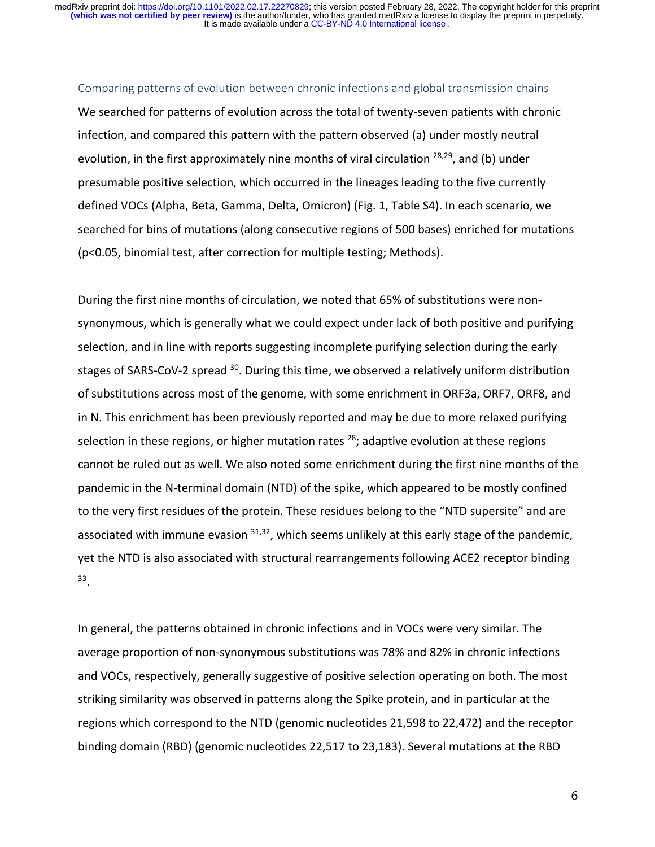#### Comparing patterns of evolution between chronic infections and global transmission chains

We searched for patterns of evolution across the total of twenty-seven patients with chronic infection, and compared this pattern with the pattern observed (a) under mostly neutral evolution, in the first approximately nine months of viral circulation  $28,29$ , and (b) under presumable positive selection, which occurred in the lineages leading to the five currently defined VOCs (Alpha, Beta, Gamma, Delta, Omicron) (Fig. 1, Table S4). In each scenario, we searched for bins of mutations (along consecutive regions of 500 bases) enriched for mutations (p<0.05, binomial test, after correction for multiple testing; Methods).

During the first nine months of circulation, we noted that 65% of substitutions were nonsynonymous, which is generally what we could expect under lack of both positive and purifying selection, and in line with reports suggesting incomplete purifying selection during the early stages of SARS-CoV-2 spread <sup>30</sup>. During this time, we observed a relatively uniform distribution of substitutions across most of the genome, with some enrichment in ORF3a, ORF7, ORF8, and in N. This enrichment has been previously reported and may be due to more relaxed purifying selection in these regions, or higher mutation rates  $^{28}$ ; adaptive evolution at these regions cannot be ruled out as well. We also noted some enrichment during the first nine months of the pandemic in the N-terminal domain (NTD) of the spike, which appeared to be mostly confined to the very first residues of the protein. These residues belong to the "NTD supersite" and are associated with immune evasion  $31,32$ , which seems unlikely at this early stage of the pandemic, yet the NTD is also associated with structural rearrangements following ACE2 receptor binding 33.

In general, the patterns obtained in chronic infections and in VOCs were very similar. The average proportion of non-synonymous substitutions was 78% and 82% in chronic infections and VOCs, respectively, generally suggestive of positive selection operating on both. The most striking similarity was observed in patterns along the Spike protein, and in particular at the regions which correspond to the NTD (genomic nucleotides 21,598 to 22,472) and the receptor binding domain (RBD) (genomic nucleotides 22,517 to 23,183). Several mutations at the RBD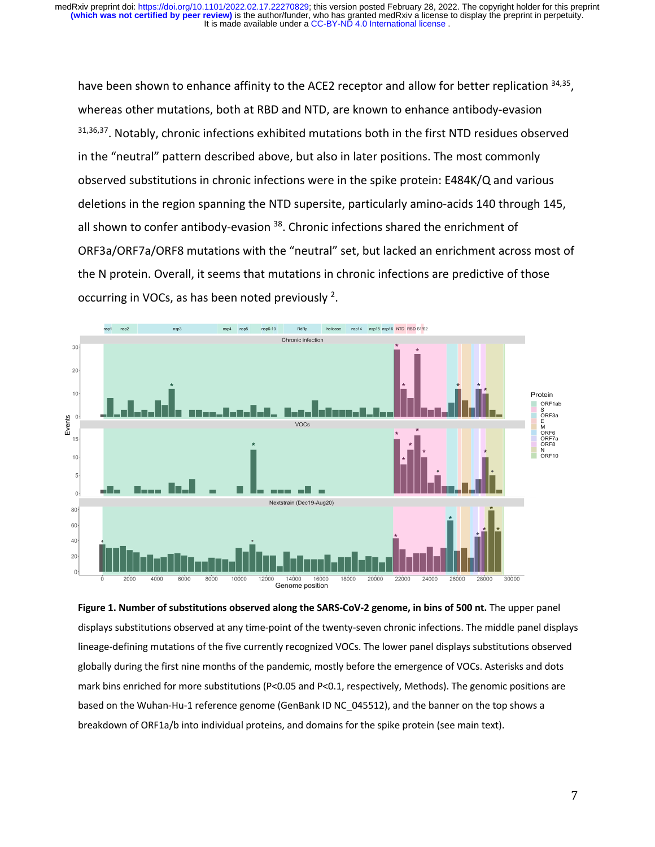It is made available under a CC-BY-ND 4.0 International license. **(which was not certified by peer review)** is the author/funder, who has granted medRxiv a license to display the preprint in perpetuity. medRxiv preprint doi: [https://doi.org/10.1101/2022.02.17.22270829;](https://doi.org/10.1101/2022.02.17.22270829) this version posted February 28, 2022. The copyright holder for this preprint

have been shown to enhance affinity to the ACE2 receptor and allow for better replication  $34,35$ , whereas other mutations, both at RBD and NTD, are known to enhance antibody-evasion 31,36,37. Notably, chronic infections exhibited mutations both in the first NTD residues observed in the "neutral" pattern described above, but also in later positions. The most commonly observed substitutions in chronic infections were in the spike protein: E484K/Q and various deletions in the region spanning the NTD supersite, particularly amino-acids 140 through 145, all shown to confer antibody-evasion <sup>38</sup>. Chronic infections shared the enrichment of ORF3a/ORF7a/ORF8 mutations with the "neutral" set, but lacked an enrichment across most of the N protein. Overall, it seems that mutations in chronic infections are predictive of those occurring in VOCs, as has been noted previously  $2$ .



Figure 1. Number of substitutions observed along the SARS-CoV-2 genome, in bins of 500 nt. The upper panel displays substitutions observed at any time-point of the twenty-seven chronic infections. The middle panel displays lineage-defining mutations of the five currently recognized VOCs. The lower panel displays substitutions observed globally during the first nine months of the pandemic, mostly before the emergence of VOCs. Asterisks and dots mark bins enriched for more substitutions (P<0.05 and P<0.1, respectively, Methods). The genomic positions are based on the Wuhan-Hu-1 reference genome (GenBank ID NC\_045512), and the banner on the top shows a breakdown of ORF1a/b into individual proteins, and domains for the spike protein (see main text).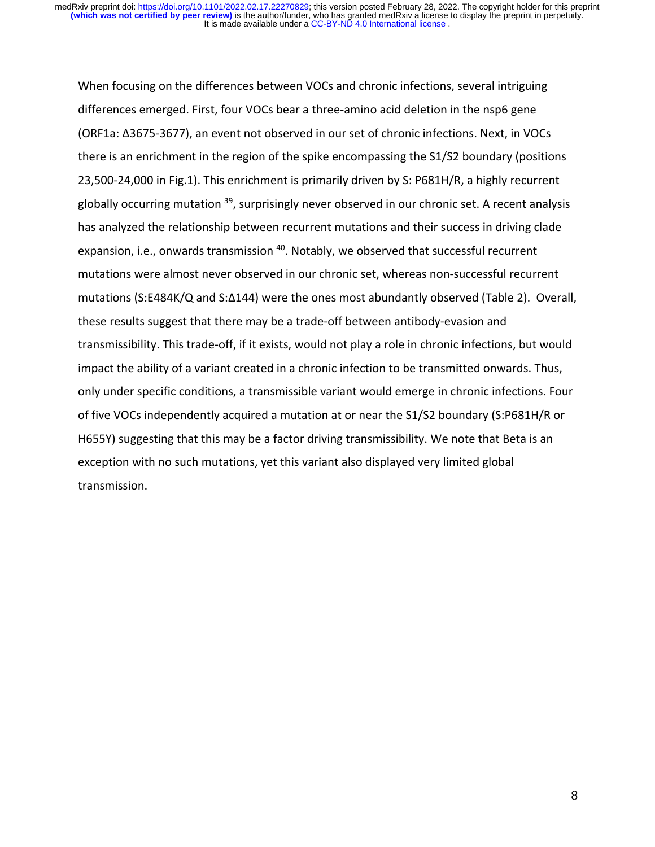When focusing on the differences between VOCs and chronic infections, several intriguing differences emerged. First, four VOCs bear a three-amino acid deletion in the nsp6 gene (ORF1a: ∆3675-3677), an event not observed in our set of chronic infections. Next, in VOCs there is an enrichment in the region of the spike encompassing the S1/S2 boundary (positions 23,500-24,000 in Fig.1). This enrichment is primarily driven by S: P681H/R, a highly recurrent globally occurring mutation  $39$ , surprisingly never observed in our chronic set. A recent analysis has analyzed the relationship between recurrent mutations and their success in driving clade expansion, i.e., onwards transmission <sup>40</sup>. Notably, we observed that successful recurrent mutations were almost never observed in our chronic set, whereas non-successful recurrent mutations (S:E484K/Q and S:∆144) were the ones most abundantly observed (Table 2). Overall, these results suggest that there may be a trade-off between antibody-evasion and transmissibility. This trade-off, if it exists, would not play a role in chronic infections, but would impact the ability of a variant created in a chronic infection to be transmitted onwards. Thus, only under specific conditions, a transmissible variant would emerge in chronic infections. Four of five VOCs independently acquired a mutation at or near the S1/S2 boundary (S:P681H/R or H655Y) suggesting that this may be a factor driving transmissibility. We note that Beta is an exception with no such mutations, yet this variant also displayed very limited global transmission.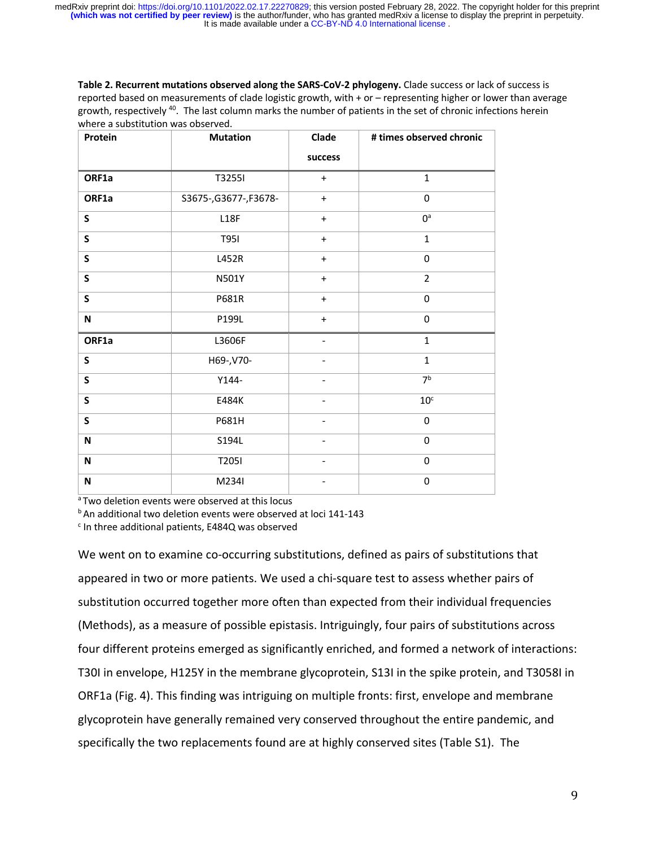**Table 2. Recurrent mutations observed along the SARS-CoV-2 phylogeny.** Clade success or lack of success is reported based on measurements of clade logistic growth, with + or – representing higher or lower than average growth, respectively 40. The last column marks the number of patients in the set of chronic infections herein where a substitution was observed.

| Protein                   | <b>Mutation</b>        | Clade                        | # times observed chronic |
|---------------------------|------------------------|------------------------------|--------------------------|
|                           |                        | success                      |                          |
| ORF1a                     | T3255I                 | $\ddot{}$                    | $\mathbf{1}$             |
| ORF1a                     | S3675-, G3677-, F3678- | $\ddot{}$                    | $\mathbf 0$              |
| $\mathsf{s}$              | L18F                   | $\ddot{}$                    | $\mathbf{O}^{\text{a}}$  |
| $\mathsf{S}$              | T951                   | $\ddot{}$                    | $\mathbf{1}$             |
| $\mathsf{S}$              | L452R                  | $\ddot{}$                    | $\mathbf 0$              |
| $\mathsf{s}$              | N501Y                  | $+$                          | $\overline{2}$           |
| $\mathsf{s}$              | P681R                  | $\ddot{}$                    | $\mathbf 0$              |
| N                         | P199L                  | $\ddot{}$                    | $\mathbf 0$              |
| ORF1a                     | L3606F                 | $\overline{\phantom{0}}$     | $\mathbf{1}$             |
| S                         | H69-, V70-             | $\overline{\phantom{0}}$     | $\mathbf{1}$             |
| $\mathsf{s}$              | $Y144-$                | $\overline{\phantom{0}}$     | 7 <sup>b</sup>           |
| $\mathsf{S}$              | E484K                  | $\overline{\phantom{0}}$     | 10 <sup>c</sup>          |
| $\mathsf{s}$              | P681H                  |                              | $\mathbf 0$              |
| $\boldsymbol{\mathsf{N}}$ | S194L                  | $\qquad \qquad \blacksquare$ | $\mathbf 0$              |
| $\boldsymbol{\mathsf{N}}$ | T2051                  | -                            | $\mathbf 0$              |
| $\boldsymbol{\mathsf{N}}$ | M234I                  |                              | $\mathbf 0$              |

<sup>a</sup> Two deletion events were observed at this locus

<sup>b</sup> An additional two deletion events were observed at loci 141-143

 $c$  In three additional patients, E484Q was observed

We went on to examine co-occurring substitutions, defined as pairs of substitutions that appeared in two or more patients. We used a chi-square test to assess whether pairs of substitution occurred together more often than expected from their individual frequencies (Methods), as a measure of possible epistasis. Intriguingly, four pairs of substitutions across four different proteins emerged as significantly enriched, and formed a network of interactions: T30I in envelope, H125Y in the membrane glycoprotein, S13I in the spike protein, and T3058I in ORF1a (Fig. 4). This finding was intriguing on multiple fronts: first, envelope and membrane glycoprotein have generally remained very conserved throughout the entire pandemic, and specifically the two replacements found are at highly conserved sites (Table S1). The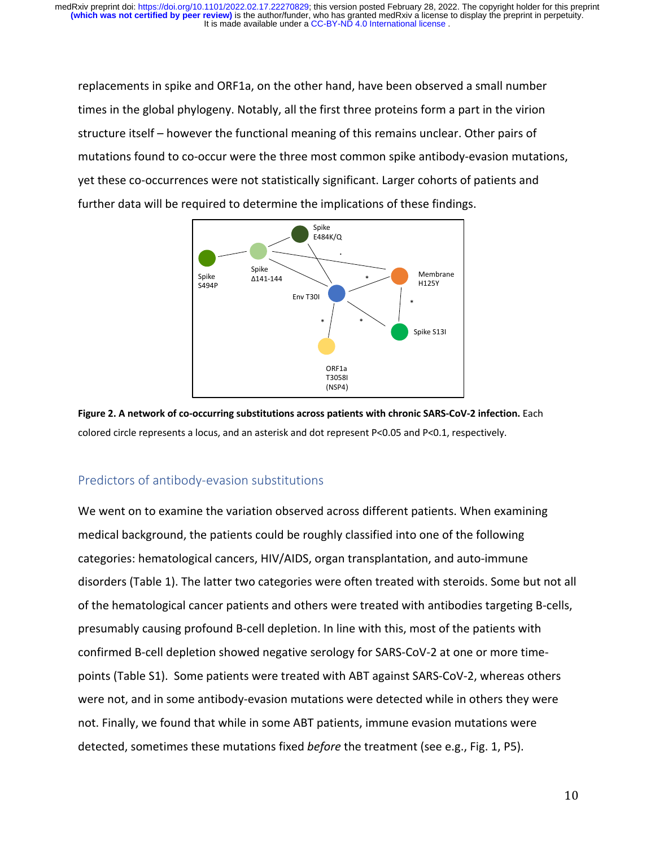It is made available under a CC-BY-ND 4.0 International license. **(which was not certified by peer review)** is the author/funder, who has granted medRxiv a license to display the preprint in perpetuity. medRxiv preprint doi: [https://doi.org/10.1101/2022.02.17.22270829;](https://doi.org/10.1101/2022.02.17.22270829) this version posted February 28, 2022. The copyright holder for this preprint

replacements in spike and ORF1a, on the other hand, have been observed a small number times in the global phylogeny. Notably, all the first three proteins form a part in the virion structure itself – however the functional meaning of this remains unclear. Other pairs of mutations found to co-occur were the three most common spike antibody-evasion mutations, yet these co-occurrences were not statistically significant. Larger cohorts of patients and further data will be required to determine the implications of these findings.





## Predictors of antibody-evasion substitutions

We went on to examine the variation observed across different patients. When examining medical background, the patients could be roughly classified into one of the following categories: hematological cancers, HIV/AIDS, organ transplantation, and auto-immune disorders (Table 1). The latter two categories were often treated with steroids. Some but not all of the hematological cancer patients and others were treated with antibodies targeting B-cells, presumably causing profound B-cell depletion. In line with this, most of the patients with confirmed B-cell depletion showed negative serology for SARS-CoV-2 at one or more timepoints (Table S1). Some patients were treated with ABT against SARS-CoV-2, whereas others were not, and in some antibody-evasion mutations were detected while in others they were not. Finally, we found that while in some ABT patients, immune evasion mutations were detected, sometimes these mutations fixed *before* the treatment (see e.g., Fig. 1, P5).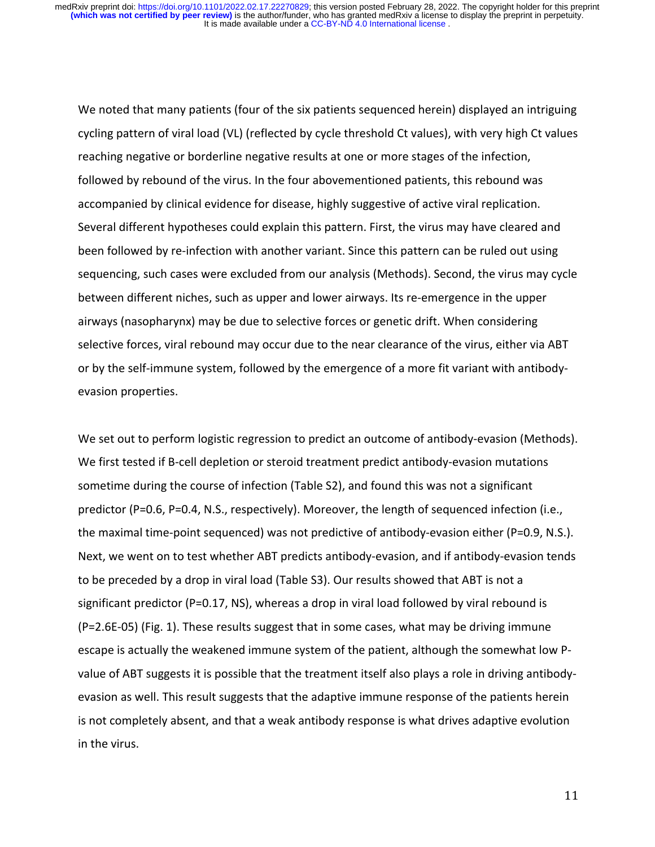We noted that many patients (four of the six patients sequenced herein) displayed an intriguing cycling pattern of viral load (VL) (reflected by cycle threshold Ct values), with very high Ct values reaching negative or borderline negative results at one or more stages of the infection, followed by rebound of the virus. In the four abovementioned patients, this rebound was accompanied by clinical evidence for disease, highly suggestive of active viral replication. Several different hypotheses could explain this pattern. First, the virus may have cleared and been followed by re-infection with another variant. Since this pattern can be ruled out using sequencing, such cases were excluded from our analysis (Methods). Second, the virus may cycle between different niches, such as upper and lower airways. Its re-emergence in the upper airways (nasopharynx) may be due to selective forces or genetic drift. When considering selective forces, viral rebound may occur due to the near clearance of the virus, either via ABT or by the self-immune system, followed by the emergence of a more fit variant with antibodyevasion properties.

We set out to perform logistic regression to predict an outcome of antibody-evasion (Methods). We first tested if B-cell depletion or steroid treatment predict antibody-evasion mutations sometime during the course of infection (Table S2), and found this was not a significant predictor (P=0.6, P=0.4, N.S., respectively). Moreover, the length of sequenced infection (i.e., the maximal time-point sequenced) was not predictive of antibody-evasion either (P=0.9, N.S.). Next, we went on to test whether ABT predicts antibody-evasion, and if antibody-evasion tends to be preceded by a drop in viral load (Table S3). Our results showed that ABT is not a significant predictor (P=0.17, NS), whereas a drop in viral load followed by viral rebound is (P=2.6E-05) (Fig. 1). These results suggest that in some cases, what may be driving immune escape is actually the weakened immune system of the patient, although the somewhat low Pvalue of ABT suggests it is possible that the treatment itself also plays a role in driving antibodyevasion as well. This result suggests that the adaptive immune response of the patients herein is not completely absent, and that a weak antibody response is what drives adaptive evolution in the virus.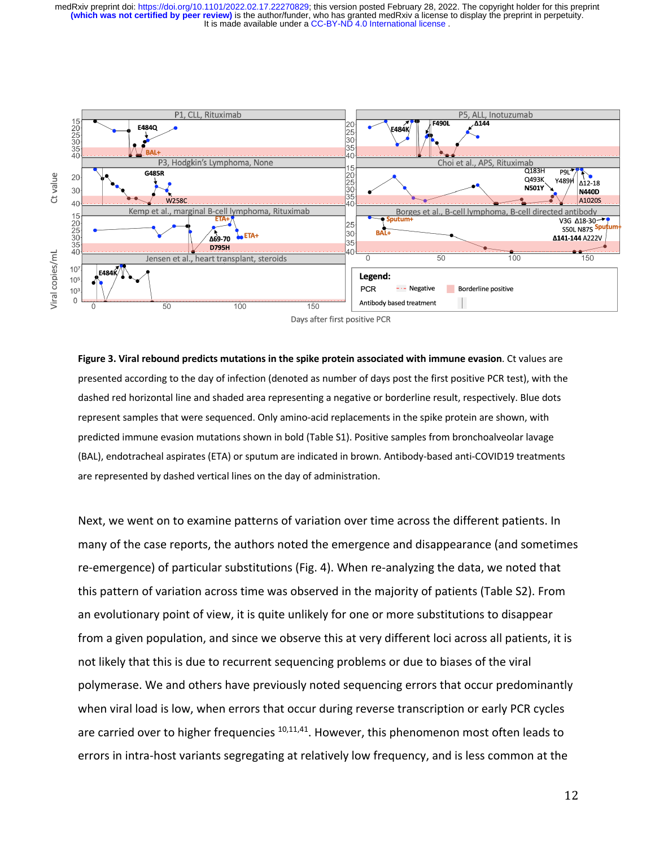It is made available under a CC-BY-ND 4.0 International license. **(which was not certified by peer review)** is the author/funder, who has granted medRxiv a license to display the preprint in perpetuity. medRxiv preprint doi: [https://doi.org/10.1101/2022.02.17.22270829;](https://doi.org/10.1101/2022.02.17.22270829) this version posted February 28, 2022. The copyright holder for this preprint



Days after first positive PCR

**Figure 3. Viral rebound predicts mutations in the spike protein associated with immune evasion**. Ct values are presented according to the day of infection (denoted as number of days post the first positive PCR test), with the dashed red horizontal line and shaded area representing a negative or borderline result, respectively. Blue dots represent samples that were sequenced. Only amino-acid replacements in the spike protein are shown, with predicted immune evasion mutations shown in bold (Table S1). Positive samples from bronchoalveolar lavage (BAL), endotracheal aspirates (ETA) or sputum are indicated in brown. Antibody-based anti-COVID19 treatments are represented by dashed vertical lines on the day of administration.

Next, we went on to examine patterns of variation over time across the different patients. In many of the case reports, the authors noted the emergence and disappearance (and sometimes re-emergence) of particular substitutions (Fig. 4). When re-analyzing the data, we noted that this pattern of variation across time was observed in the majority of patients (Table S2). From an evolutionary point of view, it is quite unlikely for one or more substitutions to disappear from a given population, and since we observe this at very different loci across all patients, it is not likely that this is due to recurrent sequencing problems or due to biases of the viral polymerase. We and others have previously noted sequencing errors that occur predominantly when viral load is low, when errors that occur during reverse transcription or early PCR cycles are carried over to higher frequencies  $10,11,41$ . However, this phenomenon most often leads to errors in intra-host variants segregating at relatively low frequency, and is less common at the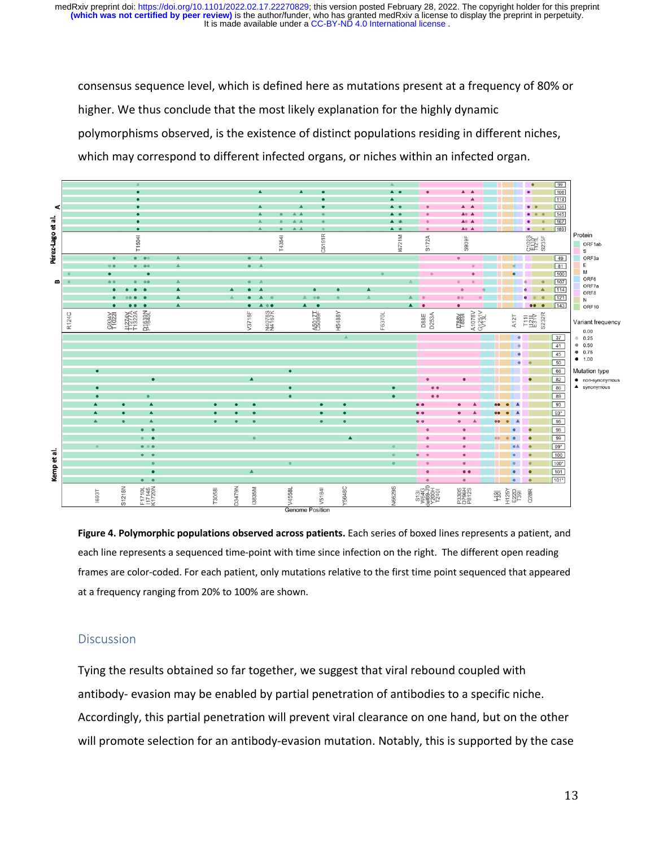It is made available under a CC-BY-ND 4.0 International license. **(which was not certified by peer review)** is the author/funder, who has granted medRxiv a license to display the preprint in perpetuity. medRxiv preprint doi: [https://doi.org/10.1101/2022.02.17.22270829;](https://doi.org/10.1101/2022.02.17.22270829) this version posted February 28, 2022. The copyright holder for this preprint

consensus sequence level, which is defined here as mutations present at a frequency of 80% or higher. We thus conclude that the most likely explanation for the highly dynamic polymorphisms observed, is the existence of distinct populations residing in different niches, which may correspond to different infected organs, or niches within an infected organ.



**Figure 4. Polymorphic populations observed across patients.** Each series of boxed lines represents a patient, and each line represents a sequenced time-point with time since infection on the right. The different open reading frames are color-coded. For each patient, only mutations relative to the first time point sequenced that appeared at a frequency ranging from 20% to 100% are shown.

## **Discussion**

Tying the results obtained so far together, we suggest that viral rebound coupled with antibody- evasion may be enabled by partial penetration of antibodies to a specific niche. Accordingly, this partial penetration will prevent viral clearance on one hand, but on the other will promote selection for an antibody-evasion mutation. Notably, this is supported by the case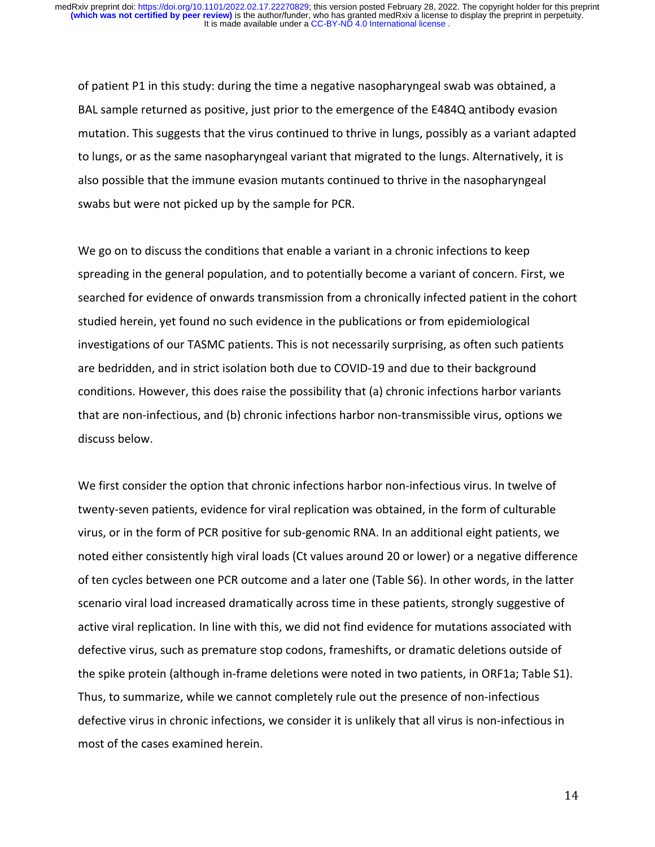of patient P1 in this study: during the time a negative nasopharyngeal swab was obtained, a BAL sample returned as positive, just prior to the emergence of the E484Q antibody evasion mutation. This suggests that the virus continued to thrive in lungs, possibly as a variant adapted to lungs, or as the same nasopharyngeal variant that migrated to the lungs. Alternatively, it is also possible that the immune evasion mutants continued to thrive in the nasopharyngeal swabs but were not picked up by the sample for PCR.

We go on to discuss the conditions that enable a variant in a chronic infections to keep spreading in the general population, and to potentially become a variant of concern. First, we searched for evidence of onwards transmission from a chronically infected patient in the cohort studied herein, yet found no such evidence in the publications or from epidemiological investigations of our TASMC patients. This is not necessarily surprising, as often such patients are bedridden, and in strict isolation both due to COVID-19 and due to their background conditions. However, this does raise the possibility that (a) chronic infections harbor variants that are non-infectious, and (b) chronic infections harbor non-transmissible virus, options we discuss below.

We first consider the option that chronic infections harbor non-infectious virus. In twelve of twenty-seven patients, evidence for viral replication was obtained, in the form of culturable virus, or in the form of PCR positive for sub-genomic RNA. In an additional eight patients, we noted either consistently high viral loads (Ct values around 20 or lower) or a negative difference of ten cycles between one PCR outcome and a later one (Table S6). In other words, in the latter scenario viral load increased dramatically across time in these patients, strongly suggestive of active viral replication. In line with this, we did not find evidence for mutations associated with defective virus, such as premature stop codons, frameshifts, or dramatic deletions outside of the spike protein (although in-frame deletions were noted in two patients, in ORF1a; Table S1). Thus, to summarize, while we cannot completely rule out the presence of non-infectious defective virus in chronic infections, we consider it is unlikely that all virus is non-infectious in most of the cases examined herein.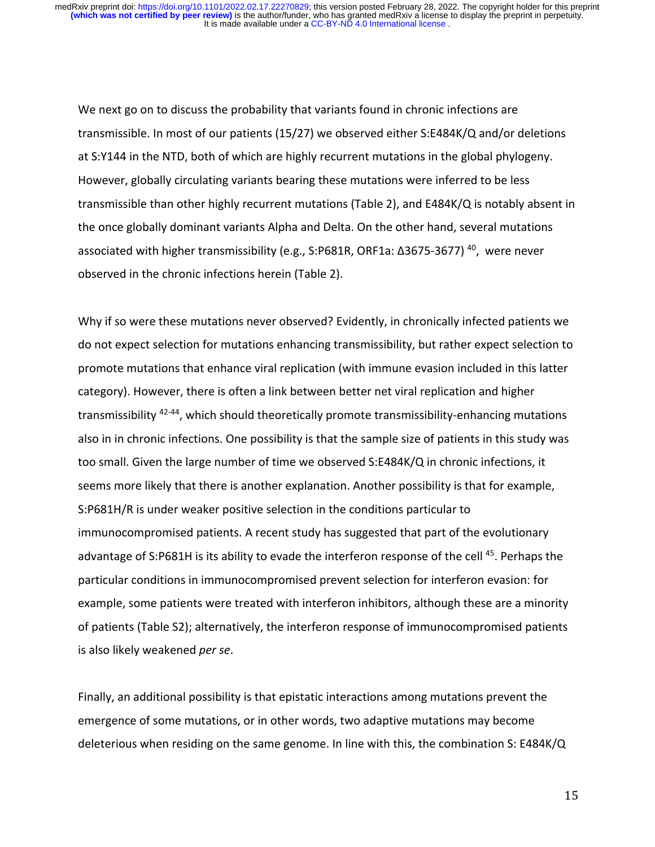We next go on to discuss the probability that variants found in chronic infections are transmissible. In most of our patients (15/27) we observed either S:E484K/Q and/or deletions at S:Y144 in the NTD, both of which are highly recurrent mutations in the global phylogeny. However, globally circulating variants bearing these mutations were inferred to be less transmissible than other highly recurrent mutations (Table 2), and E484K/Q is notably absent in the once globally dominant variants Alpha and Delta. On the other hand, several mutations associated with higher transmissibility (e.g., S:P681R, ORF1a: Δ3675-3677)<sup>40</sup>, were never observed in the chronic infections herein (Table 2).

Why if so were these mutations never observed? Evidently, in chronically infected patients we do not expect selection for mutations enhancing transmissibility, but rather expect selection to promote mutations that enhance viral replication (with immune evasion included in this latter category). However, there is often a link between better net viral replication and higher transmissibility 42-44, which should theoretically promote transmissibility-enhancing mutations also in in chronic infections. One possibility is that the sample size of patients in this study was too small. Given the large number of time we observed S:E484K/Q in chronic infections, it seems more likely that there is another explanation. Another possibility is that for example, S:P681H/R is under weaker positive selection in the conditions particular to immunocompromised patients. A recent study has suggested that part of the evolutionary advantage of S:P681H is its ability to evade the interferon response of the cell<sup>45</sup>. Perhaps the particular conditions in immunocompromised prevent selection for interferon evasion: for example, some patients were treated with interferon inhibitors, although these are a minority of patients (Table S2); alternatively, the interferon response of immunocompromised patients is also likely weakened *per se*.

Finally, an additional possibility is that epistatic interactions among mutations prevent the emergence of some mutations, or in other words, two adaptive mutations may become deleterious when residing on the same genome. In line with this, the combination S: E484K/Q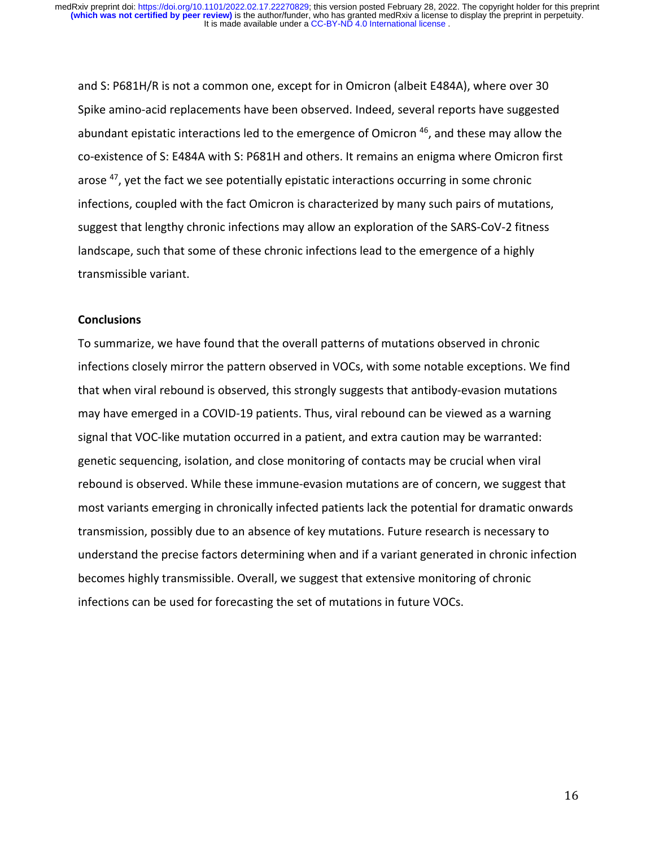and S: P681H/R is not a common one, except for in Omicron (albeit E484A), where over 30 Spike amino-acid replacements have been observed. Indeed, several reports have suggested abundant epistatic interactions led to the emergence of Omicron <sup>46</sup>, and these may allow the co-existence of S: E484A with S: P681H and others. It remains an enigma where Omicron first arose  $47$ , yet the fact we see potentially epistatic interactions occurring in some chronic infections, coupled with the fact Omicron is characterized by many such pairs of mutations, suggest that lengthy chronic infections may allow an exploration of the SARS-CoV-2 fitness landscape, such that some of these chronic infections lead to the emergence of a highly transmissible variant.

### **Conclusions**

To summarize, we have found that the overall patterns of mutations observed in chronic infections closely mirror the pattern observed in VOCs, with some notable exceptions. We find that when viral rebound is observed, this strongly suggests that antibody-evasion mutations may have emerged in a COVID-19 patients. Thus, viral rebound can be viewed as a warning signal that VOC-like mutation occurred in a patient, and extra caution may be warranted: genetic sequencing, isolation, and close monitoring of contacts may be crucial when viral rebound is observed. While these immune-evasion mutations are of concern, we suggest that most variants emerging in chronically infected patients lack the potential for dramatic onwards transmission, possibly due to an absence of key mutations. Future research is necessary to understand the precise factors determining when and if a variant generated in chronic infection becomes highly transmissible. Overall, we suggest that extensive monitoring of chronic infections can be used for forecasting the set of mutations in future VOCs.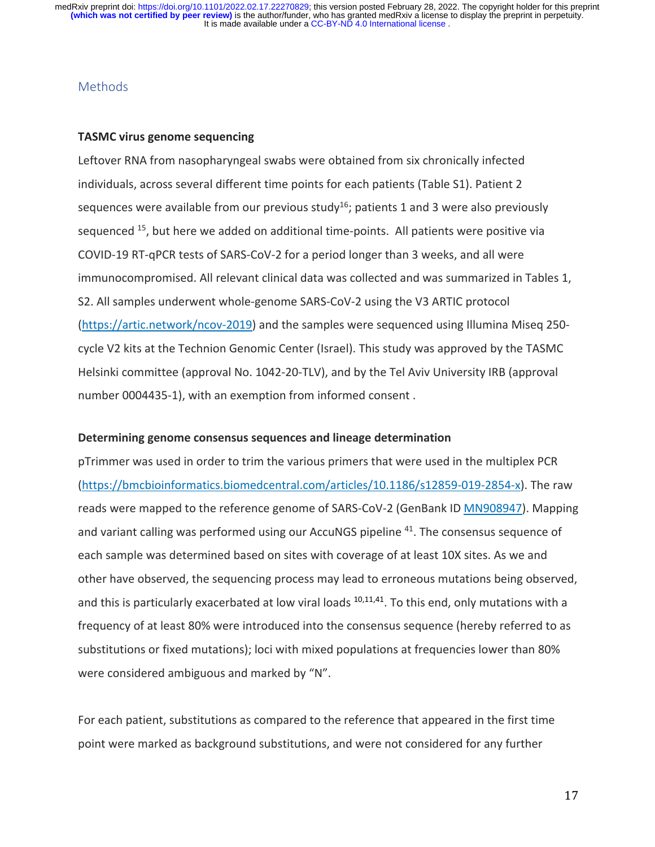## **Methods**

#### **TASMC virus genome sequencing**

Leftover RNA from nasopharyngeal swabs were obtained from six chronically infected individuals, across several different time points for each patients (Table S1). Patient 2 sequences were available from our previous study<sup>16</sup>; patients 1 and 3 were also previously sequenced  $15$ , but here we added on additional time-points. All patients were positive via COVID-19 RT-qPCR tests of SARS-CoV-2 for a period longer than 3 weeks, and all were immunocompromised. All relevant clinical data was collected and was summarized in Tables 1, S2. All samples underwent whole-genome SARS-CoV-2 using the V3 ARTIC protocol (https://artic.network/ncov-2019) and the samples were sequenced using Illumina Miseq 250 cycle V2 kits at the Technion Genomic Center (Israel). This study was approved by the TASMC Helsinki committee (approval No. 1042-20-TLV), and by the Tel Aviv University IRB (approval number 0004435-1), with an exemption from informed consent .

#### **Determining genome consensus sequences and lineage determination**

pTrimmer was used in order to trim the various primers that were used in the multiplex PCR (https://bmcbioinformatics.biomedcentral.com/articles/10.1186/s12859-019-2854-x). The raw reads were mapped to the reference genome of SARS-CoV-2 (GenBank ID MN908947). Mapping and variant calling was performed using our AccuNGS pipeline <sup>41</sup>. The consensus sequence of each sample was determined based on sites with coverage of at least 10X sites. As we and other have observed, the sequencing process may lead to erroneous mutations being observed, and this is particularly exacerbated at low viral loads  $10,11,41$ . To this end, only mutations with a frequency of at least 80% were introduced into the consensus sequence (hereby referred to as substitutions or fixed mutations); loci with mixed populations at frequencies lower than 80% were considered ambiguous and marked by "N".

For each patient, substitutions as compared to the reference that appeared in the first time point were marked as background substitutions, and were not considered for any further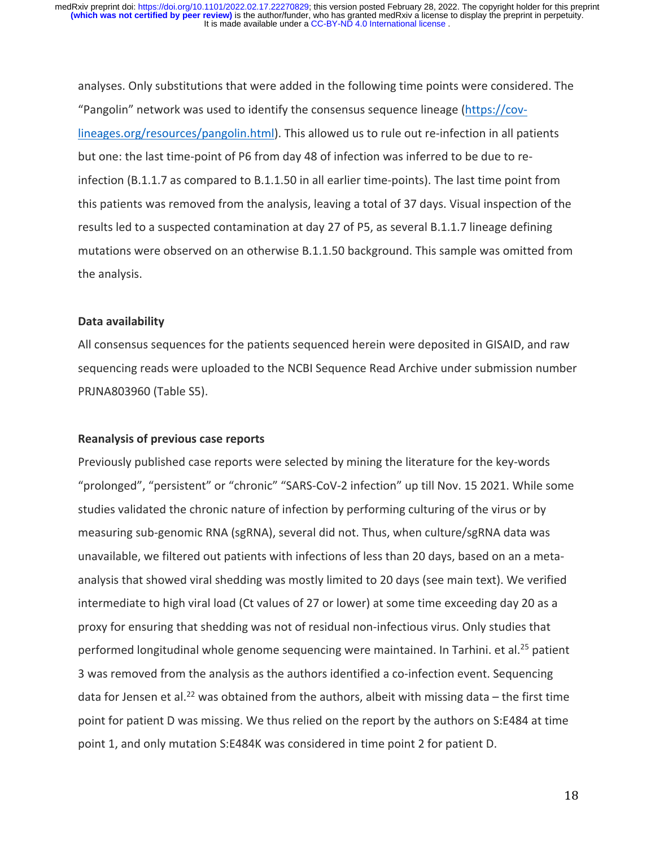analyses. Only substitutions that were added in the following time points were considered. The "Pangolin" network was used to identify the consensus sequence lineage (https://covlineages.org/resources/pangolin.html). This allowed us to rule out re-infection in all patients but one: the last time-point of P6 from day 48 of infection was inferred to be due to reinfection (B.1.1.7 as compared to B.1.1.50 in all earlier time-points). The last time point from this patients was removed from the analysis, leaving a total of 37 days. Visual inspection of the results led to a suspected contamination at day 27 of P5, as several B.1.1.7 lineage defining mutations were observed on an otherwise B.1.1.50 background. This sample was omitted from the analysis.

#### **Data availability**

All consensus sequences for the patients sequenced herein were deposited in GISAID, and raw sequencing reads were uploaded to the NCBI Sequence Read Archive under submission number PRJNA803960 (Table S5).

### **Reanalysis of previous case reports**

Previously published case reports were selected by mining the literature for the key-words "prolonged", "persistent" or "chronic" "SARS-CoV-2 infection" up till Nov. 15 2021. While some studies validated the chronic nature of infection by performing culturing of the virus or by measuring sub-genomic RNA (sgRNA), several did not. Thus, when culture/sgRNA data was unavailable, we filtered out patients with infections of less than 20 days, based on an a metaanalysis that showed viral shedding was mostly limited to 20 days (see main text). We verified intermediate to high viral load (Ct values of 27 or lower) at some time exceeding day 20 as a proxy for ensuring that shedding was not of residual non-infectious virus. Only studies that performed longitudinal whole genome sequencing were maintained. In Tarhini. et al.<sup>25</sup> patient 3 was removed from the analysis as the authors identified a co-infection event. Sequencing data for Jensen et al.<sup>22</sup> was obtained from the authors, albeit with missing data - the first time point for patient D was missing. We thus relied on the report by the authors on S:E484 at time point 1, and only mutation S:E484K was considered in time point 2 for patient D.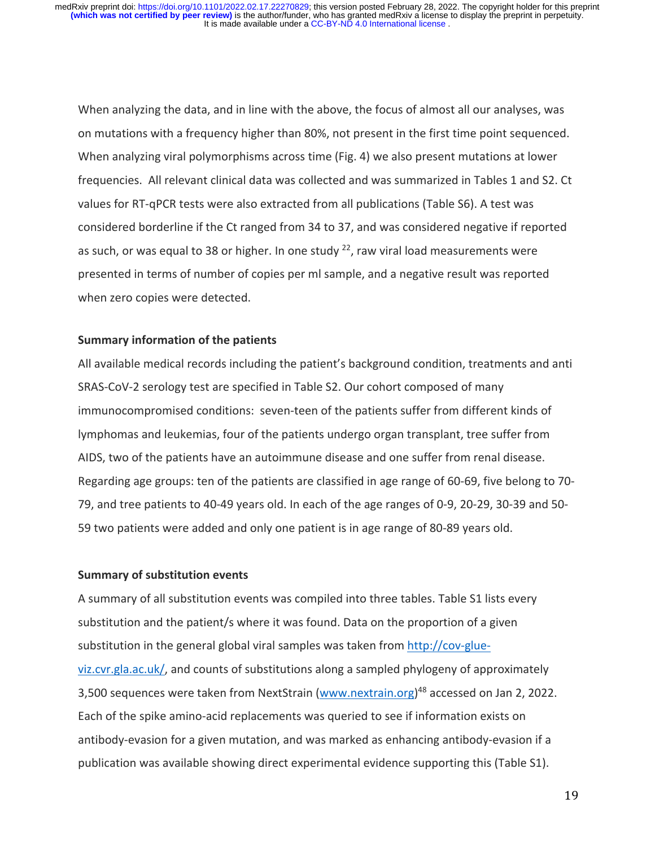When analyzing the data, and in line with the above, the focus of almost all our analyses, was on mutations with a frequency higher than 80%, not present in the first time point sequenced. When analyzing viral polymorphisms across time (Fig. 4) we also present mutations at lower frequencies. All relevant clinical data was collected and was summarized in Tables 1 and S2. Ct values for RT-qPCR tests were also extracted from all publications (Table S6). A test was considered borderline if the Ct ranged from 34 to 37, and was considered negative if reported as such, or was equal to 38 or higher. In one study  $22$ , raw viral load measurements were presented in terms of number of copies per ml sample, and a negative result was reported when zero copies were detected.

#### **Summary information of the patients**

All available medical records including the patient's background condition, treatments and anti SRAS-CoV-2 serology test are specified in Table S2. Our cohort composed of many immunocompromised conditions: seven-teen of the patients suffer from different kinds of lymphomas and leukemias, four of the patients undergo organ transplant, tree suffer from AIDS, two of the patients have an autoimmune disease and one suffer from renal disease. Regarding age groups: ten of the patients are classified in age range of 60-69, five belong to 70- 79, and tree patients to 40-49 years old. In each of the age ranges of 0-9, 20-29, 30-39 and 50- 59 two patients were added and only one patient is in age range of 80-89 years old.

#### **Summary of substitution events**

A summary of all substitution events was compiled into three tables. Table S1 lists every substitution and the patient/s where it was found. Data on the proportion of a given substitution in the general global viral samples was taken from http://cov-glueviz.cvr.gla.ac.uk/, and counts of substitutions along a sampled phylogeny of approximately 3,500 sequences were taken from NextStrain (www.nextrain.org)<sup>48</sup> accessed on Jan 2, 2022. Each of the spike amino-acid replacements was queried to see if information exists on antibody-evasion for a given mutation, and was marked as enhancing antibody-evasion if a publication was available showing direct experimental evidence supporting this (Table S1).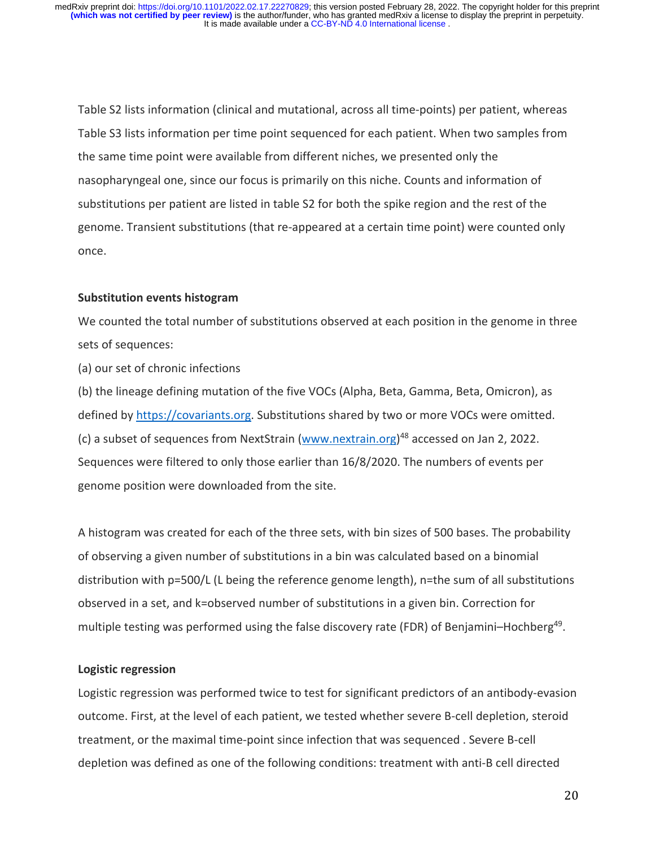Table S2 lists information (clinical and mutational, across all time-points) per patient, whereas Table S3 lists information per time point sequenced for each patient. When two samples from the same time point were available from different niches, we presented only the nasopharyngeal one, since our focus is primarily on this niche. Counts and information of substitutions per patient are listed in table S2 for both the spike region and the rest of the genome. Transient substitutions (that re-appeared at a certain time point) were counted only once.

#### **Substitution events histogram**

We counted the total number of substitutions observed at each position in the genome in three sets of sequences:

(a) our set of chronic infections

(b) the lineage defining mutation of the five VOCs (Alpha, Beta, Gamma, Beta, Omicron), as defined by https://covariants.org. Substitutions shared by two or more VOCs were omitted. (c) a subset of sequences from NextStrain (www.nextrain.org)<sup>48</sup> accessed on Jan 2, 2022. Sequences were filtered to only those earlier than 16/8/2020. The numbers of events per genome position were downloaded from the site.

A histogram was created for each of the three sets, with bin sizes of 500 bases. The probability of observing a given number of substitutions in a bin was calculated based on a binomial distribution with p=500/L (L being the reference genome length), n=the sum of all substitutions observed in a set, and k=observed number of substitutions in a given bin. Correction for multiple testing was performed using the false discovery rate (FDR) of Benjamini-Hochberg<sup>49</sup>.

#### **Logistic regression**

Logistic regression was performed twice to test for significant predictors of an antibody-evasion outcome. First, at the level of each patient, we tested whether severe B-cell depletion, steroid treatment, or the maximal time-point since infection that was sequenced . Severe B-cell depletion was defined as one of the following conditions: treatment with anti-B cell directed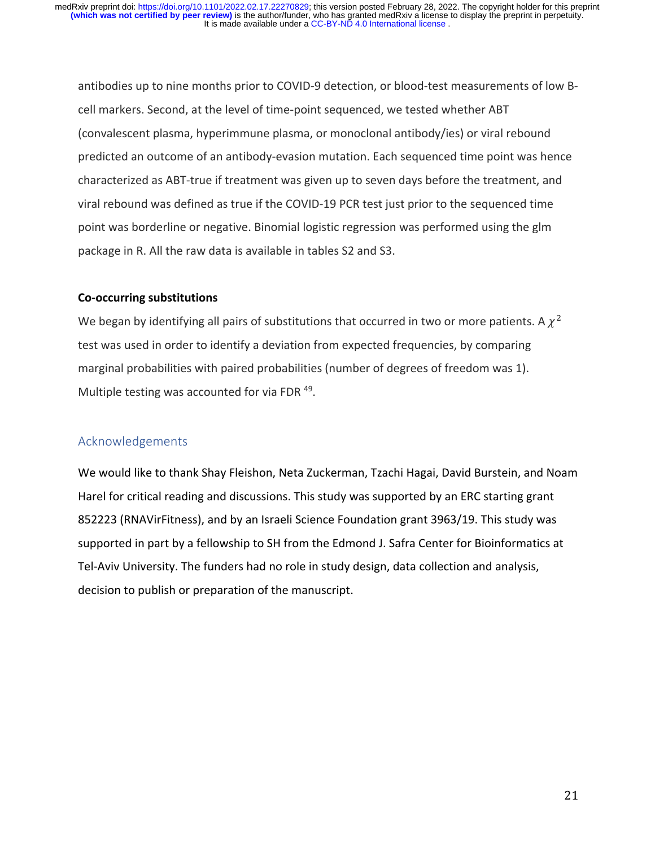antibodies up to nine months prior to COVID-9 detection, or blood-test measurements of low Bcell markers. Second, at the level of time-point sequenced, we tested whether ABT (convalescent plasma, hyperimmune plasma, or monoclonal antibody/ies) or viral rebound predicted an outcome of an antibody-evasion mutation. Each sequenced time point was hence characterized as ABT-true if treatment was given up to seven days before the treatment, and viral rebound was defined as true if the COVID-19 PCR test just prior to the sequenced time point was borderline or negative. Binomial logistic regression was performed using the glm package in R. All the raw data is available in tables S2 and S3.

## **Co-occurring substitutions**

We began by identifying all pairs of substitutions that occurred in two or more patients. A  $\chi^2$ test was used in order to identify a deviation from expected frequencies, by comparing marginal probabilities with paired probabilities (number of degrees of freedom was 1). Multiple testing was accounted for via FDR 49.

## Acknowledgements

We would like to thank Shay Fleishon, Neta Zuckerman, Tzachi Hagai, David Burstein, and Noam Harel for critical reading and discussions. This study was supported by an ERC starting grant 852223 (RNAVirFitness), and by an Israeli Science Foundation grant 3963/19. This study was supported in part by a fellowship to SH from the Edmond J. Safra Center for Bioinformatics at Tel-Aviv University. The funders had no role in study design, data collection and analysis, decision to publish or preparation of the manuscript.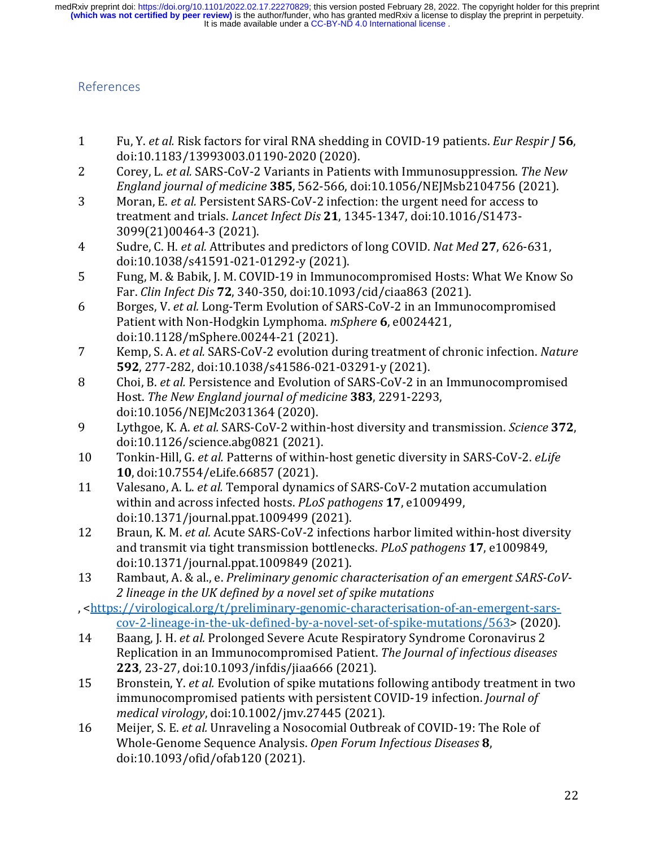## References

- 1 Fu, Y. *et al.* Risk factors for viral RNA shedding in COVID-19 patients. *Eur Respir J* **56**, doi:10.1183/13993003.01190-2020 (2020).
- 2 Corey, L. *et al.* SARS-CoV-2 Variants in Patients with Immunosuppression. The New *England journal of medicine* **385**, 562-566, doi:10.1056/NEJMsb2104756 (2021).
- 3 Moran, E. *et al.* Persistent SARS-CoV-2 infection: the urgent need for access to treatment and trials. *Lancet Infect Dis* 21, 1345-1347, doi:10.1016/S1473-3099(21)00464-3 (2021).
- 4 Sudre, C. H. *et al.* Attributes and predictors of long COVID. *Nat Med* 27, 626-631, doi:10.1038/s41591-021-01292-y (2021).
- 5 Fung, M. & Babik, J. M. COVID-19 in Immunocompromised Hosts: What We Know So Far. *Clin Infect Dis* **72**, 340-350, doi:10.1093/cid/ciaa863 (2021).
- 6 Borges, V. *et al.* Long-Term Evolution of SARS-CoV-2 in an Immunocompromised Patient with Non-Hodgkin Lymphoma. *mSphere* **6**, e0024421, doi:10.1128/mSphere.00244-21 (2021).
- 7 Kemp, S. A. *et al.* SARS-CoV-2 evolution during treatment of chronic infection. *Nature* **592**, 277-282, doi:10.1038/s41586-021-03291-y (2021).
- 8 Choi, B. *et al.* Persistence and Evolution of SARS-CoV-2 in an Immunocompromised Host. The New England journal of medicine 383, 2291-2293, doi:10.1056/NEJMc2031364 (2020).
- 9 Lythgoe, K. A. *et al.* SARS-CoV-2 within-host diversity and transmission. *Science* 372, doi:10.1126/science.abg0821 (2021).
- 10 Tonkin-Hill, G. *et al.* Patterns of within-host genetic diversity in SARS-CoV-2. *eLife* **10**, doi:10.7554/eLife.66857 (2021).
- 11 Valesano, A. L. *et al.* Temporal dynamics of SARS-CoV-2 mutation accumulation within and across infected hosts. *PLoS pathogens* 17, e1009499, doi:10.1371/journal.ppat.1009499 (2021).
- 12 Braun, K. M. *et al.* Acute SARS-CoV-2 infections harbor limited within-host diversity and transmit via tight transmission bottlenecks. *PLoS pathogens* 17, e1009849, doi:10.1371/journal.ppat.1009849 (2021).
- 13 Rambaut, A. & al., e. *Preliminary genomic characterisation of an emergent SARS-CoV-2 lineage in the UK defined by a novel set of spike mutations*

, <https://virological.org/t/preliminary-genomic-characterisation-of-an-emergent-sarscov-2-lineage-in-the-uk-defined-by-a-novel-set-of-spike-mutations/563> (2020).

- 14 Baang, J. H. *et al.* Prolonged Severe Acute Respiratory Syndrome Coronavirus 2 Replication in an Immunocompromised Patient. The Journal of infectious diseases **223**, 23-27, doi:10.1093/infdis/jiaa666 (2021).
- 15 Bronstein, Y. *et al.* Evolution of spike mutations following antibody treatment in two immunocompromised patients with persistent COVID-19 infection. *Journal of medical virology*, doi:10.1002/jmv.27445 (2021).
- 16 Meijer, S. E. *et al.* Unraveling a Nosocomial Outbreak of COVID-19: The Role of Whole-Genome Sequence Analysis. Open Forum Infectious Diseases 8, doi:10.1093/ofid/ofab120 (2021).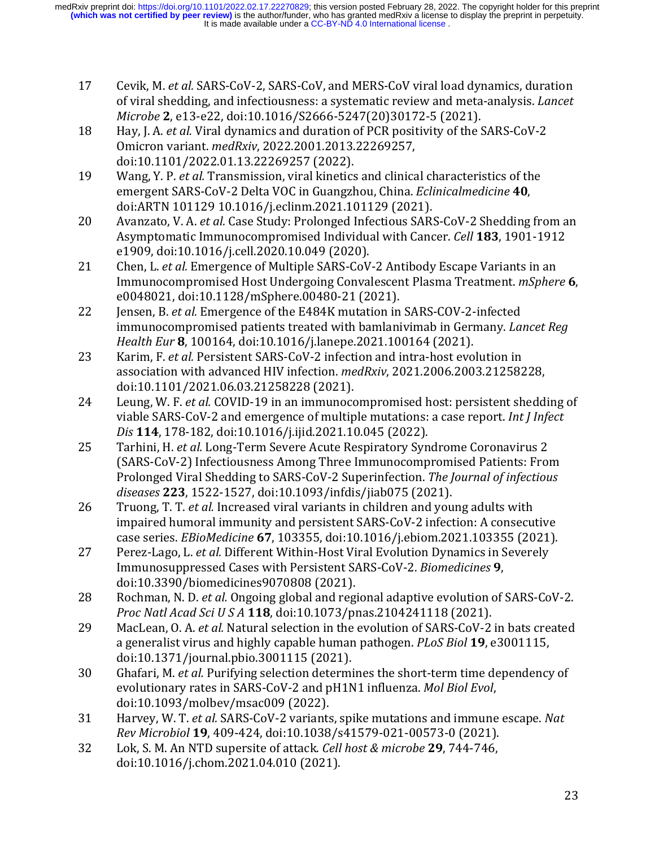- 17 Cevik, M. *et al.* SARS-CoV-2, SARS-CoV, and MERS-CoV viral load dynamics, duration of viral shedding, and infectiousness: a systematic review and meta-analysis. *Lancet Microbe* **2**, e13-e22, doi:10.1016/S2666-5247(20)30172-5 (2021).
- 18 Hay, J. A. *et al.* Viral dynamics and duration of PCR positivity of the SARS-CoV-2 Omicron variant. *medRxiv*, 2022.2001.2013.22269257, doi:10.1101/2022.01.13.22269257 (2022).
- 19 Wang, Y. P. *et al.* Transmission, viral kinetics and clinical characteristics of the emergent SARS-CoV-2 Delta VOC in Guangzhou, China. *Eclinicalmedicine* **40**, doi:ARTN 101129 10.1016/j.eclinm.2021.101129 (2021).
- 20 Avanzato, V. A. *et al.* Case Study: Prolonged Infectious SARS-CoV-2 Shedding from an Asymptomatic Immunocompromised Individual with Cancer. *Cell* 183, 1901-1912 e1909, doi:10.1016/j.cell.2020.10.049 (2020).
- 21 Chen, L. *et al.* Emergence of Multiple SARS-CoV-2 Antibody Escape Variants in an Immunocompromised Host Undergoing Convalescent Plasma Treatment. *mSphere* **6**, e0048021, doi:10.1128/mSphere.00480-21 (2021).
- 22 Jensen, B. *et al.* Emergence of the E484K mutation in SARS-COV-2-infected immunocompromised patients treated with bamlanivimab in Germany. *Lancet Reg Health Eur* **8**, 100164, doi:10.1016/j.lanepe.2021.100164 (2021).
- 23 Karim, F. *et al.* Persistent SARS-CoV-2 infection and intra-host evolution in association with advanced HIV infection. *medRxiv*, 2021.2006.2003.21258228, doi:10.1101/2021.06.03.21258228 (2021).
- 24 Leung, W. F. *et al.* COVID-19 in an immunocompromised host: persistent shedding of viable SARS-CoV-2 and emergence of multiple mutations: a case report. *Int I Infect Dis* **114**, 178-182, doi:10.1016/j.ijid.2021.10.045 (2022).
- 25 Tarhini, H. *et al.* Long-Term Severe Acute Respiratory Syndrome Coronavirus 2 (SARS-CoV-2) Infectiousness Among Three Immunocompromised Patients: From Prolonged Viral Shedding to SARS-CoV-2 Superinfection. The *Journal of infectious diseases* **223**, 1522-1527, doi:10.1093/infdis/jiab075 (2021).
- 26 Truong, T. T. *et al.* Increased viral variants in children and young adults with impaired humoral immunity and persistent SARS-CoV-2 infection: A consecutive case series. *EBioMedicine* **67**, 103355, doi:10.1016/j.ebiom.2021.103355 (2021).
- 27 Perez-Lago, L. *et al.* Different Within-Host Viral Evolution Dynamics in Severely Immunosuppressed Cases with Persistent SARS-CoV-2. *Biomedicines* **9**, doi:10.3390/biomedicines9070808 (2021).
- 28 Rochman, N. D. *et al.* Ongoing global and regional adaptive evolution of SARS-CoV-2. *Proc Natl Acad Sci U S A* **118**, doi:10.1073/pnas.2104241118 (2021).
- 29 MacLean, O. A. *et al.* Natural selection in the evolution of SARS-CoV-2 in bats created a generalist virus and highly capable human pathogen. *PLoS Biol* 19, e3001115, doi:10.1371/journal.pbio.3001115 (2021).
- 30 Ghafari, M. *et al.* Purifying selection determines the short-term time dependency of evolutionary rates in SARS-CoV-2 and pH1N1 influenza. *Mol Biol Evol*, doi:10.1093/molbev/msac009 (2022).
- 31 Harvey, W. T. *et al.* SARS-CoV-2 variants, spike mutations and immune escape. *Nat Rev Microbiol* **19**, 409-424, doi:10.1038/s41579-021-00573-0 (2021).
- 32 Lok, S. M. An NTD supersite of attack. *Cell host & microbe* **29**, 744-746, doi:10.1016/j.chom.2021.04.010 (2021).